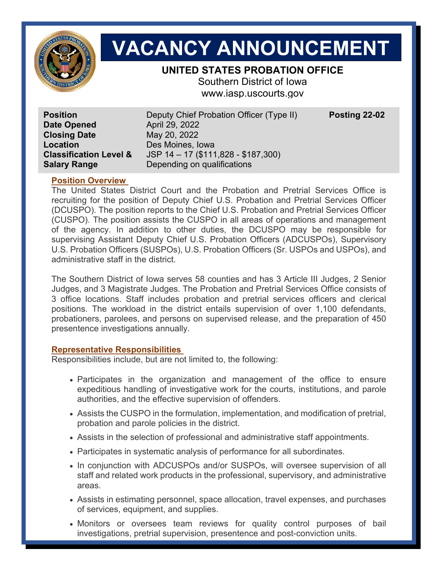

# **VACANCY ANNOUNCEMENT**

# **UNITED STATES PROBATION OFFICE**

Southern District of Iowa www.iasp.uscourts.gov

**Date Opened April 29, 2022 Closing Date** May 20, 2022 **Location Des Moines, Iowa** 

**Position Deputy Chief Probation Officer (Type II) Posting 22-02 Classification Level &** JSP 14 – 17 (\$111,828 - \$187,300) **Salary Range Depending on qualifications** 

# **Position Overview**

The United States District Court and the Probation and Pretrial Services Office is recruiting for the position of Deputy Chief U.S. Probation and Pretrial Services Officer (DCUSPO). The position reports to the Chief U.S. Probation and Pretrial Services Officer (CUSPO). The position assists the CUSPO in all areas of operations and management of the agency. In addition to other duties, the DCUSPO may be responsible for supervising Assistant Deputy Chief U.S. Probation Officers (ADCUSPOs), Supervisory U.S. Probation Officers (SUSPOs), U.S. Probation Officers (Sr. USPOs and USPOs), and administrative staff in the district.

The Southern District of Iowa serves 58 counties and has 3 Article III Judges, 2 Senior Judges, and 3 Magistrate Judges. The Probation and Pretrial Services Office consists of 3 office locations. Staff includes probation and pretrial services officers and clerical positions. The workload in the district entails supervision of over 1,100 defendants, probationers, parolees, and persons on supervised release, and the preparation of 450 presentence investigations annually.

# **Representative Responsibilities**

Responsibilities include, but are not limited to, the following:

- Participates in the organization and management of the office to ensure expeditious handling of investigative work for the courts, institutions, and parole authorities, and the effective supervision of offenders.
- Assists the CUSPO in the formulation, implementation, and modification of pretrial, probation and parole policies in the district.
- Assists in the selection of professional and administrative staff appointments.
- Participates in systematic analysis of performance for all subordinates.
- In conjunction with ADCUSPOs and/or SUSPOs, will oversee supervision of all staff and related work products in the professional, supervisory, and administrative areas.
- Assists in estimating personnel, space allocation, travel expenses, and purchases of services, equipment, and supplies.
- Monitors or oversees team reviews for quality control purposes of bail investigations, pretrial supervision, presentence and post-conviction units.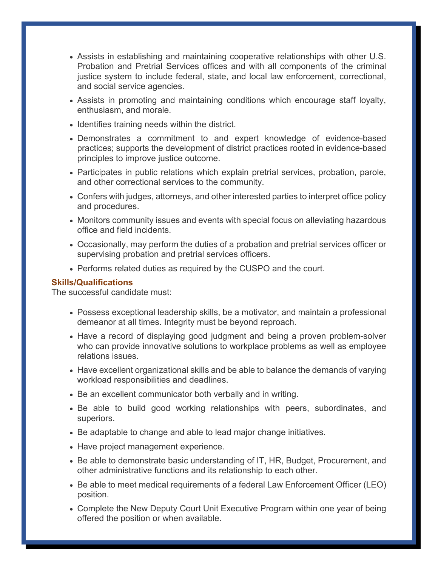- Assists in establishing and maintaining cooperative relationships with other U.S. Probation and Pretrial Services offices and with all components of the criminal justice system to include federal, state, and local law enforcement, correctional, and social service agencies.
- Assists in promoting and maintaining conditions which encourage staff loyalty, enthusiasm, and morale.
- Identifies training needs within the district.
- Demonstrates a commitment to and expert knowledge of evidence-based practices; supports the development of district practices rooted in evidence-based principles to improve justice outcome.
- Participates in public relations which explain pretrial services, probation, parole, and other correctional services to the community.
- Confers with judges, attorneys, and other interested parties to interpret office policy and procedures.
- Monitors community issues and events with special focus on alleviating hazardous office and field incidents.
- Occasionally, may perform the duties of a probation and pretrial services officer or supervising probation and pretrial services officers.
- Performs related duties as required by the CUSPO and the court.

## **Skills/Qualifications**

The successful candidate must:

- Possess exceptional leadership skills, be a motivator, and maintain a professional demeanor at all times. Integrity must be beyond reproach.
- Have a record of displaying good judgment and being a proven problem-solver who can provide innovative solutions to workplace problems as well as employee relations issues.
- Have excellent organizational skills and be able to balance the demands of varying workload responsibilities and deadlines.
- Be an excellent communicator both verbally and in writing.
- Be able to build good working relationships with peers, subordinates, and superiors.
- Be adaptable to change and able to lead major change initiatives.
- Have project management experience.
- Be able to demonstrate basic understanding of IT, HR, Budget, Procurement, and other administrative functions and its relationship to each other.
- Be able to meet medical requirements of a federal Law Enforcement Officer (LEO) position.
- Complete the New Deputy Court Unit Executive Program within one year of being offered the position or when available.